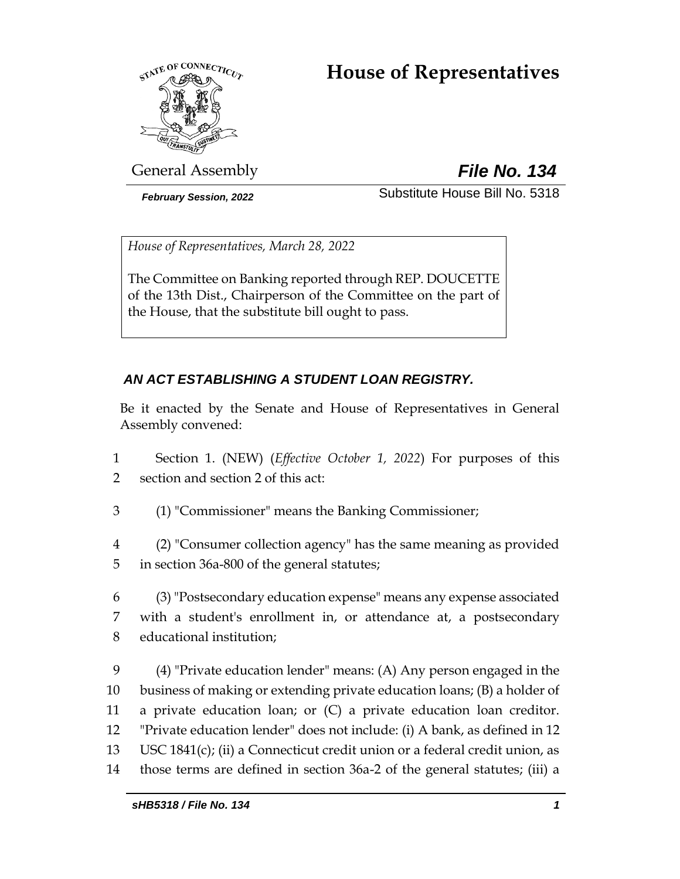# **House of Representatives**



General Assembly *File No. 134*

*February Session, 2022* Substitute House Bill No. 5318

*House of Representatives, March 28, 2022*

The Committee on Banking reported through REP. DOUCETTE of the 13th Dist., Chairperson of the Committee on the part of the House, that the substitute bill ought to pass.

# *AN ACT ESTABLISHING A STUDENT LOAN REGISTRY.*

Be it enacted by the Senate and House of Representatives in General Assembly convened:

- 1 Section 1. (NEW) (*Effective October 1, 2022*) For purposes of this 2 section and section 2 of this act:
- 3 (1) "Commissioner" means the Banking Commissioner;
- 4 (2) "Consumer collection agency" has the same meaning as provided 5 in section 36a-800 of the general statutes;
- 6 (3) "Postsecondary education expense" means any expense associated 7 with a student's enrollment in, or attendance at, a postsecondary 8 educational institution;
- 9 (4) "Private education lender" means: (A) Any person engaged in the 10 business of making or extending private education loans; (B) a holder of 11 a private education loan; or (C) a private education loan creditor. 12 "Private education lender" does not include: (i) A bank, as defined in 12 13 USC 1841(c); (ii) a Connecticut credit union or a federal credit union, as 14 those terms are defined in section 36a-2 of the general statutes; (iii) a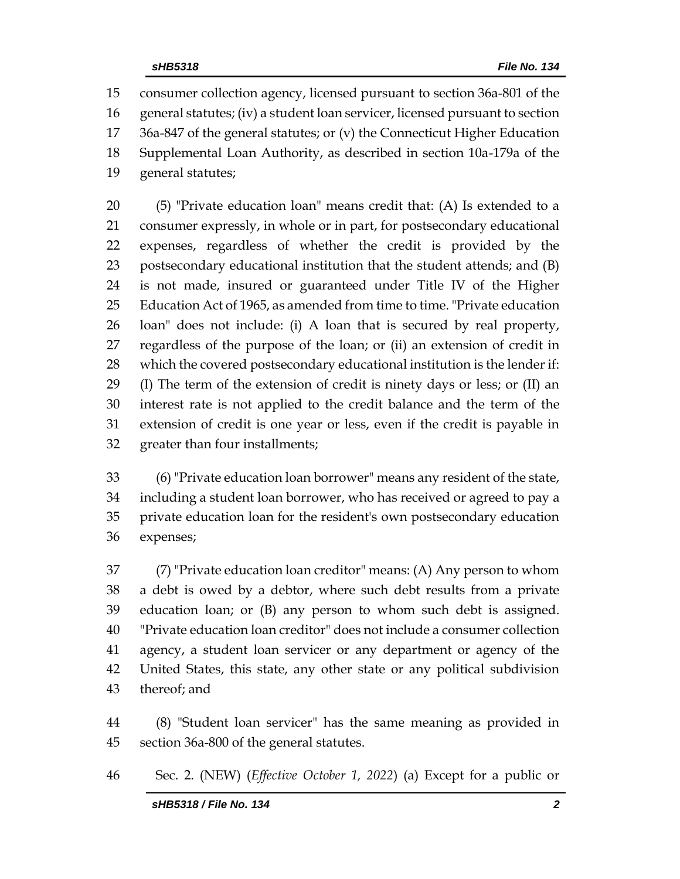consumer collection agency, licensed pursuant to section 36a-801 of the general statutes; (iv) a student loan servicer, licensed pursuant to section 36a-847 of the general statutes; or (v) the Connecticut Higher Education Supplemental Loan Authority, as described in section 10a-179a of the general statutes;

 (5) "Private education loan" means credit that: (A) Is extended to a consumer expressly, in whole or in part, for postsecondary educational expenses, regardless of whether the credit is provided by the postsecondary educational institution that the student attends; and (B) is not made, insured or guaranteed under Title IV of the Higher Education Act of 1965, as amended from time to time. "Private education loan" does not include: (i) A loan that is secured by real property, regardless of the purpose of the loan; or (ii) an extension of credit in which the covered postsecondary educational institution is the lender if: (I) The term of the extension of credit is ninety days or less; or (II) an interest rate is not applied to the credit balance and the term of the extension of credit is one year or less, even if the credit is payable in greater than four installments;

 (6) "Private education loan borrower" means any resident of the state, including a student loan borrower, who has received or agreed to pay a private education loan for the resident's own postsecondary education expenses;

 (7) "Private education loan creditor" means: (A) Any person to whom a debt is owed by a debtor, where such debt results from a private education loan; or (B) any person to whom such debt is assigned. "Private education loan creditor" does not include a consumer collection agency, a student loan servicer or any department or agency of the United States, this state, any other state or any political subdivision thereof; and

 (8) "Student loan servicer" has the same meaning as provided in section 36a-800 of the general statutes.

Sec. 2. (NEW) (*Effective October 1, 2022*) (a) Except for a public or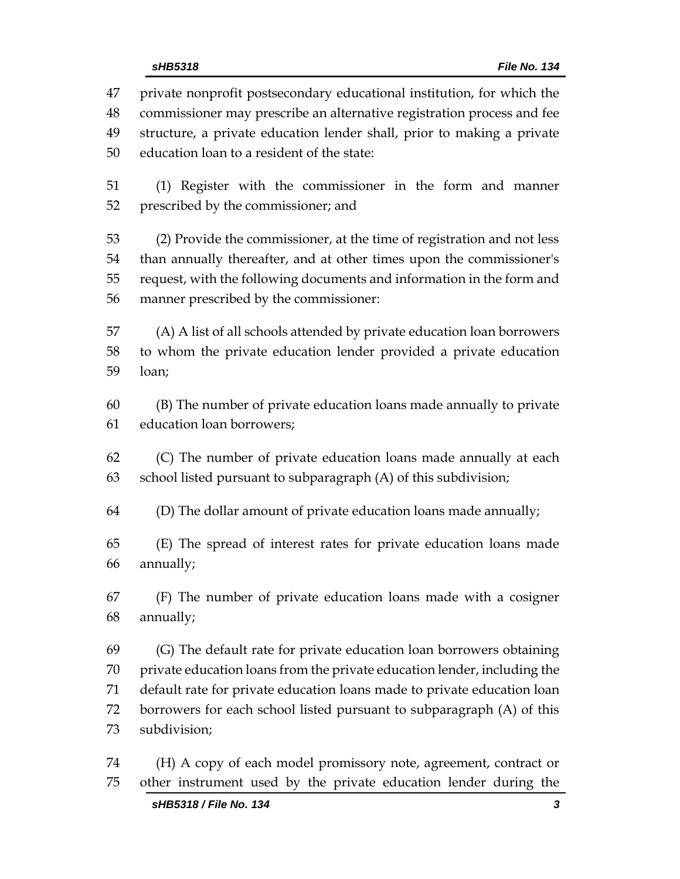*sHB5318 File No. 134* private nonprofit postsecondary educational institution, for which the commissioner may prescribe an alternative registration process and fee structure, a private education lender shall, prior to making a private education loan to a resident of the state: (1) Register with the commissioner in the form and manner prescribed by the commissioner; and (2) Provide the commissioner, at the time of registration and not less than annually thereafter, and at other times upon the commissioner's request, with the following documents and information in the form and manner prescribed by the commissioner: (A) A list of all schools attended by private education loan borrowers to whom the private education lender provided a private education loan; (B) The number of private education loans made annually to private education loan borrowers; (C) The number of private education loans made annually at each school listed pursuant to subparagraph (A) of this subdivision; (D) The dollar amount of private education loans made annually; (E) The spread of interest rates for private education loans made annually; (F) The number of private education loans made with a cosigner annually;

 (G) The default rate for private education loan borrowers obtaining private education loans from the private education lender, including the default rate for private education loans made to private education loan borrowers for each school listed pursuant to subparagraph (A) of this subdivision;

 (H) A copy of each model promissory note, agreement, contract or other instrument used by the private education lender during the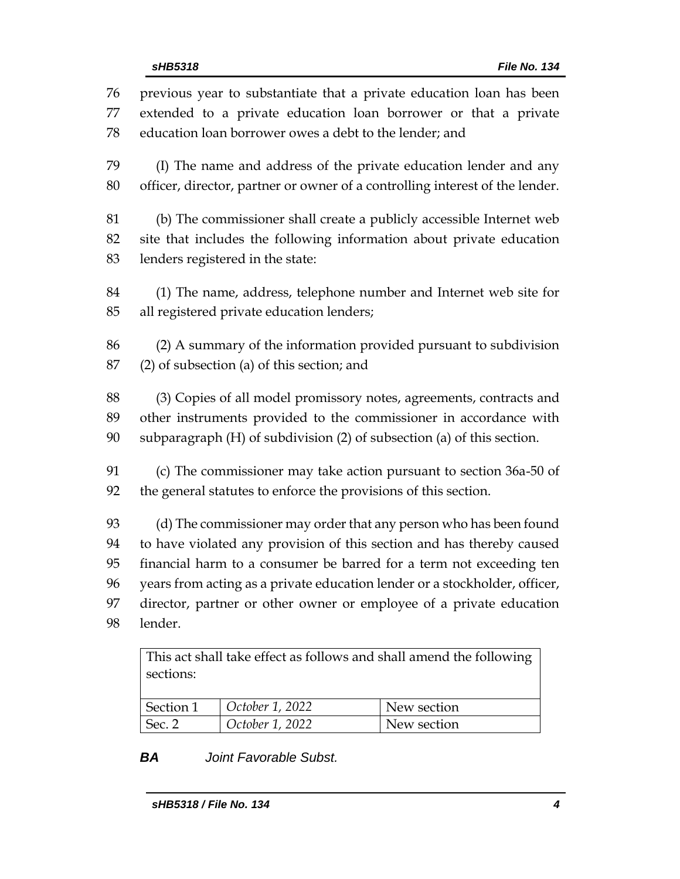previous year to substantiate that a private education loan has been extended to a private education loan borrower or that a private education loan borrower owes a debt to the lender; and (I) The name and address of the private education lender and any officer, director, partner or owner of a controlling interest of the lender. (b) The commissioner shall create a publicly accessible Internet web site that includes the following information about private education lenders registered in the state: (1) The name, address, telephone number and Internet web site for all registered private education lenders; (2) A summary of the information provided pursuant to subdivision (2) of subsection (a) of this section; and (3) Copies of all model promissory notes, agreements, contracts and other instruments provided to the commissioner in accordance with subparagraph (H) of subdivision (2) of subsection (a) of this section. (c) The commissioner may take action pursuant to section 36a-50 of the general statutes to enforce the provisions of this section. (d) The commissioner may order that any person who has been found to have violated any provision of this section and has thereby caused financial harm to a consumer be barred for a term not exceeding ten years from acting as a private education lender or a stockholder, officer, director, partner or other owner or employee of a private education lender.

This act shall take effect as follows and shall amend the following sections: Section 1 *October 1, 2022* New section Sec. 2 *October 1, 2022* New section

*BA Joint Favorable Subst.*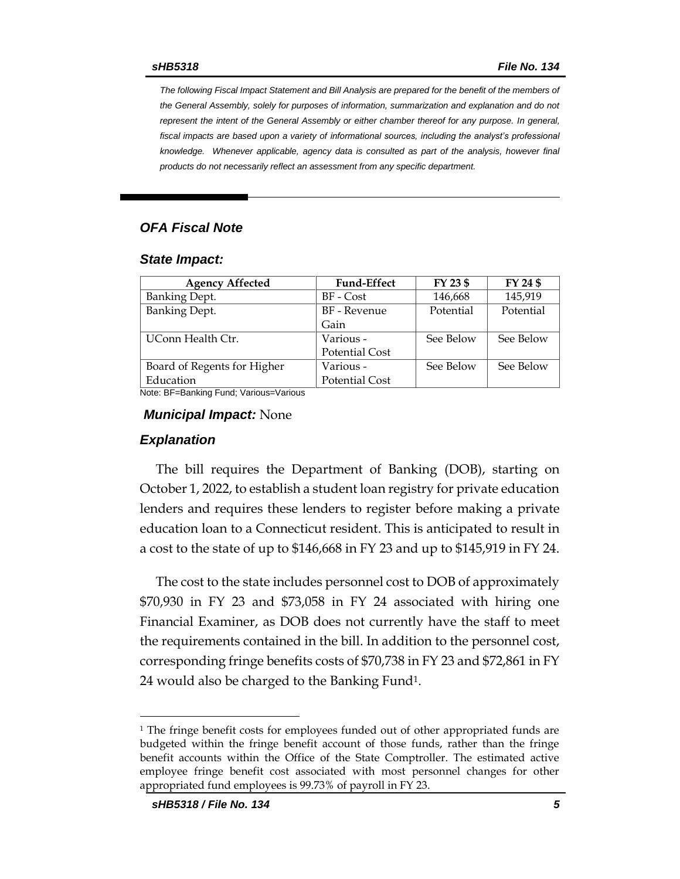*The following Fiscal Impact Statement and Bill Analysis are prepared for the benefit of the members of the General Assembly, solely for purposes of information, summarization and explanation and do not represent the intent of the General Assembly or either chamber thereof for any purpose. In general,*  fiscal impacts are based upon a variety of informational sources, including the analyst's professional *knowledge. Whenever applicable, agency data is consulted as part of the analysis, however final products do not necessarily reflect an assessment from any specific department.*

## *OFA Fiscal Note*

#### *State Impact:*

| <b>Agency Affected</b>      | <b>Fund-Effect</b>    | FY 23 \$  | FY 24 \$  |
|-----------------------------|-----------------------|-----------|-----------|
| <b>Banking Dept.</b>        | BF - Cost             | 146,668   | 145,919   |
| <b>Banking Dept.</b>        | BF - Revenue          | Potential | Potential |
|                             | Gain                  |           |           |
| UConn Health Ctr.           | Various -             | See Below | See Below |
|                             | <b>Potential Cost</b> |           |           |
| Board of Regents for Higher | Various -             | See Below | See Below |
| Education                   | <b>Potential Cost</b> |           |           |

Note: BF=Banking Fund; Various=Various

#### *Municipal Impact:* None

#### *Explanation*

The bill requires the Department of Banking (DOB), starting on October 1, 2022, to establish a student loan registry for private education lenders and requires these lenders to register before making a private education loan to a Connecticut resident. This is anticipated to result in a cost to the state of up to \$146,668 in FY 23 and up to \$145,919 in FY 24.

The cost to the state includes personnel cost to DOB of approximately \$70,930 in FY 23 and \$73,058 in FY 24 associated with hiring one Financial Examiner, as DOB does not currently have the staff to meet the requirements contained in the bill. In addition to the personnel cost, corresponding fringe benefits costs of \$70,738 in FY 23 and \$72,861 in FY 24 would also be charged to the Banking Fund1.

<sup>&</sup>lt;sup>1</sup> The fringe benefit costs for employees funded out of other appropriated funds are budgeted within the fringe benefit account of those funds, rather than the fringe benefit accounts within the Office of the State Comptroller. The estimated active employee fringe benefit cost associated with most personnel changes for other appropriated fund employees is 99.73% of payroll in FY 23.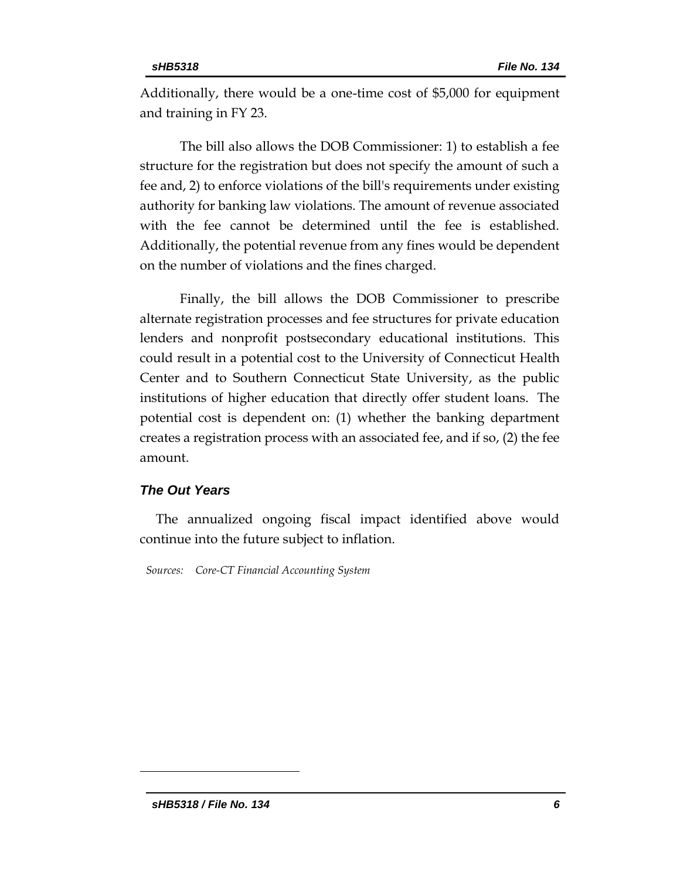Additionally, there would be a one-time cost of \$5,000 for equipment and training in FY 23.

The bill also allows the DOB Commissioner: 1) to establish a fee structure for the registration but does not specify the amount of such a fee and, 2) to enforce violations of the bill's requirements under existing authority for banking law violations. The amount of revenue associated with the fee cannot be determined until the fee is established. Additionally, the potential revenue from any fines would be dependent on the number of violations and the fines charged.

Finally, the bill allows the DOB Commissioner to prescribe alternate registration processes and fee structures for private education lenders and nonprofit postsecondary educational institutions. This could result in a potential cost to the University of Connecticut Health Center and to Southern Connecticut State University, as the public institutions of higher education that directly offer student loans. The potential cost is dependent on: (1) whether the banking department creates a registration process with an associated fee, and if so, (2) the fee amount.

#### *The Out Years*

The annualized ongoing fiscal impact identified above would continue into the future subject to inflation.

*Sources: Core-CT Financial Accounting System*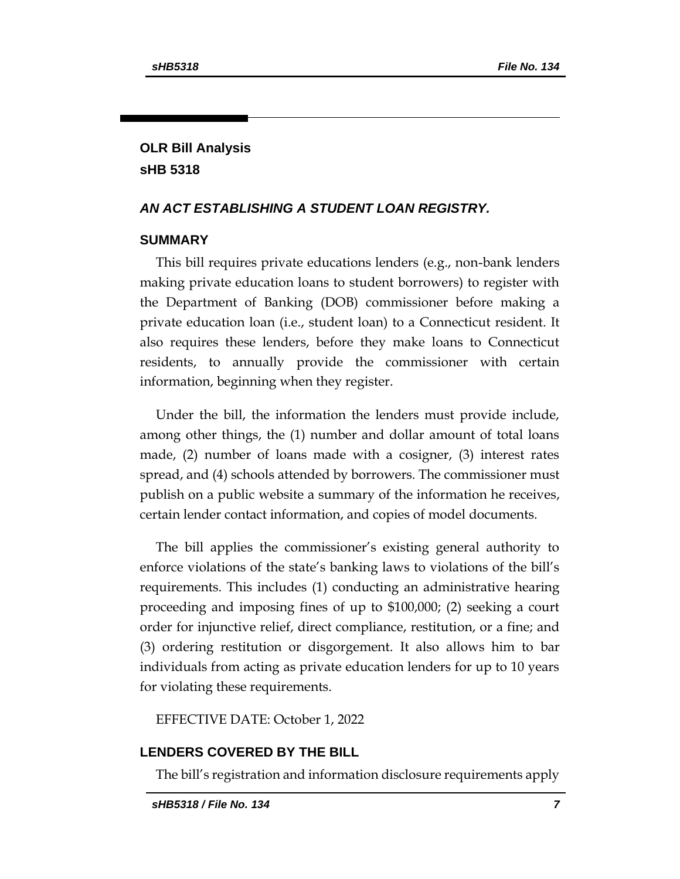## **OLR Bill Analysis sHB 5318**

### *AN ACT ESTABLISHING A STUDENT LOAN REGISTRY.*

#### **SUMMARY**

This bill requires private educations lenders (e.g., non-bank lenders making private education loans to student borrowers) to register with the Department of Banking (DOB) commissioner before making a private education loan (i.e., student loan) to a Connecticut resident. It also requires these lenders, before they make loans to Connecticut residents, to annually provide the commissioner with certain information, beginning when they register.

Under the bill, the information the lenders must provide include, among other things, the (1) number and dollar amount of total loans made, (2) number of loans made with a cosigner, (3) interest rates spread, and (4) schools attended by borrowers. The commissioner must publish on a public website a summary of the information he receives, certain lender contact information, and copies of model documents.

The bill applies the commissioner's existing general authority to enforce violations of the state's banking laws to violations of the bill's requirements. This includes (1) conducting an administrative hearing proceeding and imposing fines of up to \$100,000; (2) seeking a court order for injunctive relief, direct compliance, restitution, or a fine; and (3) ordering restitution or disgorgement. It also allows him to bar individuals from acting as private education lenders for up to 10 years for violating these requirements.

EFFECTIVE DATE: October 1, 2022

#### **LENDERS COVERED BY THE BILL**

The bill's registration and information disclosure requirements apply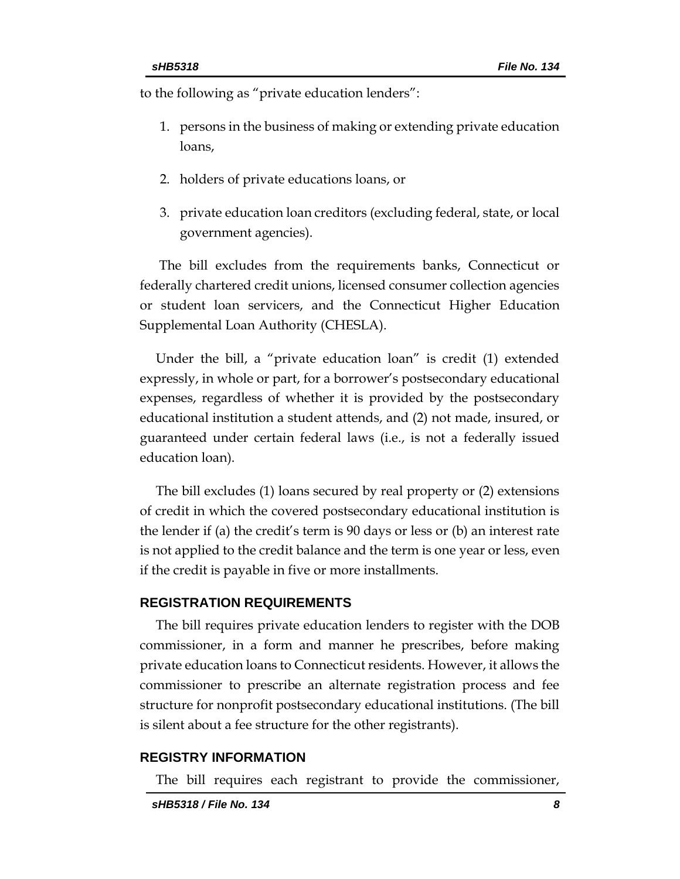to the following as "private education lenders":

- 1. persons in the business of making or extending private education loans,
- 2. holders of private educations loans, or
- 3. private education loan creditors (excluding federal, state, or local government agencies).

The bill excludes from the requirements banks, Connecticut or federally chartered credit unions, licensed consumer collection agencies or student loan servicers, and the Connecticut Higher Education Supplemental Loan Authority (CHESLA).

Under the bill, a "private education loan" is credit (1) extended expressly, in whole or part, for a borrower's postsecondary educational expenses, regardless of whether it is provided by the postsecondary educational institution a student attends, and (2) not made, insured, or guaranteed under certain federal laws (i.e., is not a federally issued education loan).

The bill excludes (1) loans secured by real property or (2) extensions of credit in which the covered postsecondary educational institution is the lender if (a) the credit's term is 90 days or less or (b) an interest rate is not applied to the credit balance and the term is one year or less, even if the credit is payable in five or more installments.

#### **REGISTRATION REQUIREMENTS**

The bill requires private education lenders to register with the DOB commissioner, in a form and manner he prescribes, before making private education loans to Connecticut residents. However, it allows the commissioner to prescribe an alternate registration process and fee structure for nonprofit postsecondary educational institutions. (The bill is silent about a fee structure for the other registrants).

#### **REGISTRY INFORMATION**

The bill requires each registrant to provide the commissioner,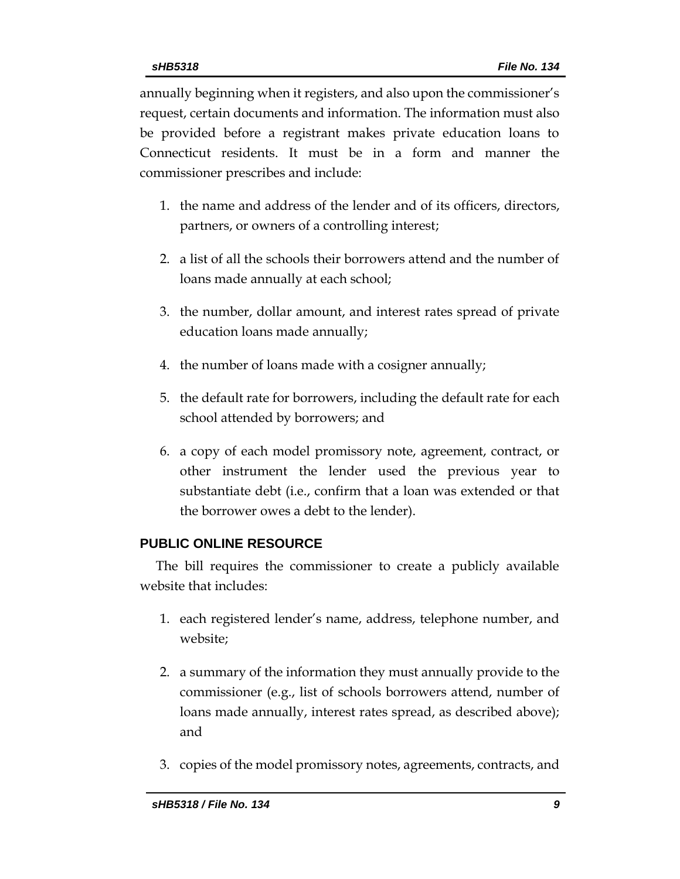annually beginning when it registers, and also upon the commissioner's request, certain documents and information. The information must also be provided before a registrant makes private education loans to Connecticut residents. It must be in a form and manner the commissioner prescribes and include:

- 1. the name and address of the lender and of its officers, directors, partners, or owners of a controlling interest;
- 2. a list of all the schools their borrowers attend and the number of loans made annually at each school;
- 3. the number, dollar amount, and interest rates spread of private education loans made annually;
- 4. the number of loans made with a cosigner annually;
- 5. the default rate for borrowers, including the default rate for each school attended by borrowers; and
- 6. a copy of each model promissory note, agreement, contract, or other instrument the lender used the previous year to substantiate debt (i.e., confirm that a loan was extended or that the borrower owes a debt to the lender).

## **PUBLIC ONLINE RESOURCE**

The bill requires the commissioner to create a publicly available website that includes:

- 1. each registered lender's name, address, telephone number, and website;
- 2. a summary of the information they must annually provide to the commissioner (e.g., list of schools borrowers attend, number of loans made annually, interest rates spread, as described above); and
- 3. copies of the model promissory notes, agreements, contracts, and